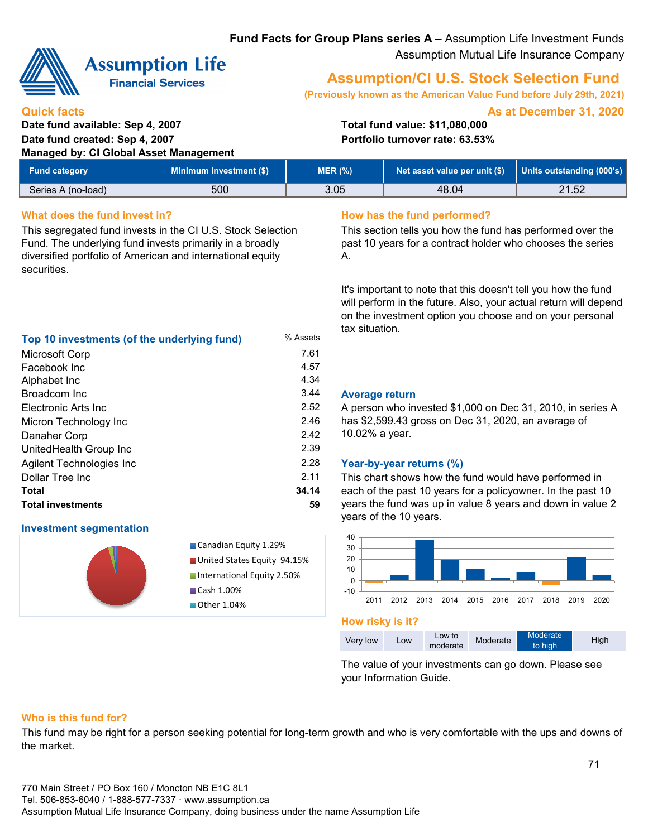# **Fund Facts for Group Plans series A** – Assumption Life Investment Funds Assumption Mutual Life Insurance Company



**Quick facts**

# **Assumption Life**

**Financial Services** 

# **Assumption/CI U.S. Stock Selection Fund**

**(Previously known as the American Value Fund before July 29th, 2021)**

**As at December 31, 2020**

# **Date fund available: Sep 4, 2007 Total fund value: \$11,080,000 Date fund created: Sep 4, 2007 Portfolio turnover rate: 63.53% Managed by: CI Global Asset Management**

| Fund category      | <b>Minimum investment (\$)</b> | MER (%) | Net asset value per unit $(\$)$   Units outstanding (000's) |       |
|--------------------|--------------------------------|---------|-------------------------------------------------------------|-------|
| Series A (no-load) | 500                            | 3.05    | 48.04                                                       | 21.52 |

4.57

2.46 2.42 2.39

2.11

# **What does the fund invest in? How has the fund performed?**

This segregated fund invests in the CI U.S. Stock Selection Fund. The underlying fund invests primarily in a broadly diversified portfolio of American and international equity securities.

**Top 10 investments (of the underlying fund)** % Assets Microsoft Corp 7.61

Alphabet Inc 4.34

Electronic Arts Inc 2.52

**Total 34.14 Total investments 59**

This section tells you how the fund has performed over the past 10 years for a contract holder who chooses the series A.

It's important to note that this doesn't tell you how the fund will perform in the future. Also, your actual return will depend on the investment option you choose and on your personal tax situation.

## 3.44 **Average return**

A person who invested \$1,000 on Dec 31, 2010, in series A has \$2,599.43 gross on Dec 31, 2020, an average of 10.02% a year.

# 2.28 **Year-by-year returns (%)**

This chart shows how the fund would have performed in each of the past 10 years for a policyowner. In the past 10 years the fund was up in value 8 years and down in value 2 years of the 10 years.



### **How risky is it?**

| Very low | Low | Low to<br>moderate | Moderate | Moderate <sup>'</sup><br>to high | High |
|----------|-----|--------------------|----------|----------------------------------|------|
|          |     |                    |          |                                  |      |

The value of your investments can go down. Please see your Information Guide.

# **Who is this fund for?**

**Investment segmentation**

Broadcom Inc

Facebook Inc

Danaher Corp

Dollar Tree Inc

Micron Technology Inc

UnitedHealth Group Inc

Agilent Technologies Inc

This fund may be right for a person seeking potential for long-term growth and who is very comfortable with the ups and downs of the market.

Canadian Equity 1.29% **United States Equity 94.15% International Equity 2.50%** 

Cash 1.00% **Other 1.04%**